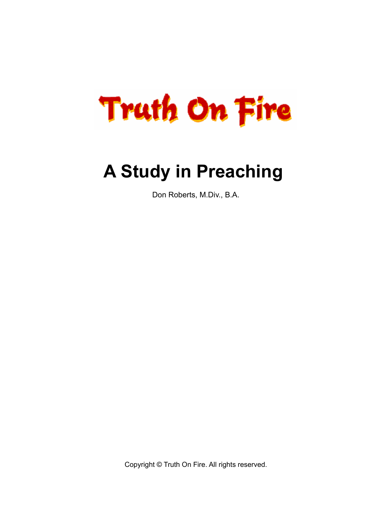# **Truth On Fire**

## **A Study in Preaching**

Don Roberts, M.Div., B.A.

Copyright © Truth On Fire. All rights reserved.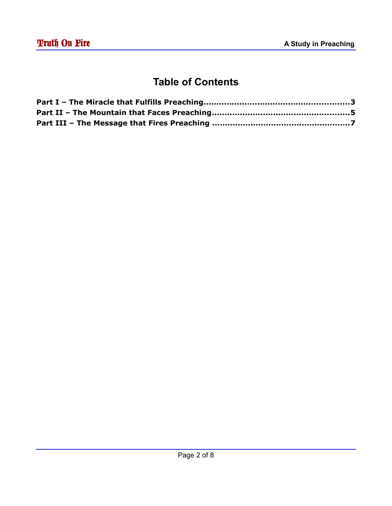#### **Table of Contents**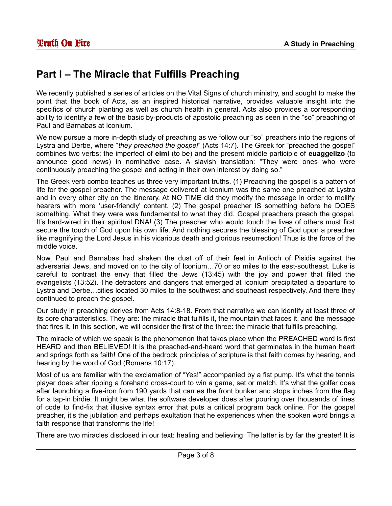### **Part I – The Miracle that Fulfills Preaching**

We recently published a series of articles on the Vital Signs of church ministry, and sought to make the point that the book of Acts, as an inspired historical narrative, provides valuable insight into the specifics of church planting as well as church health in general. Acts also provides a corresponding ability to identify a few of the basic by-products of apostolic preaching as seen in the "so" preaching of Paul and Barnabas at Iconium.

We now pursue a more in-depth study of preaching as we follow our "so" preachers into the regions of Lystra and Derbe, where "*they preached the gospel*" (Acts 14:7). The Greek for "preached the gospel" combines two verbs: the imperfect of **eimi** (to be) and the present middle participle of **euaggelizo** (to announce good news) in nominative case. A slavish translation: "They were ones who were continuously preaching the gospel and acting in their own interest by doing so."

The Greek verb combo teaches us three very important truths. (1) Preaching the gospel is a pattern of life for the gospel preacher. The message delivered at Iconium was the same one preached at Lystra and in every other city on the itinerary. At NO TIME did they modify the message in order to mollify hearers with more 'user-friendly' content. (2) The gospel preacher IS something before he DOES something. What they were was fundamental to what they did. Gospel preachers preach the gospel. It's hard-wired in their spiritual DNA! (3) The preacher who would touch the lives of others must first secure the touch of God upon his own life. And nothing secures the blessing of God upon a preacher like magnifying the Lord Jesus in his vicarious death and glorious resurrection! Thus is the force of the middle voice.

Now, Paul and Barnabas had shaken the dust off of their feet in Antioch of Pisidia against the adversarial Jews, and moved on to the city of Iconium…70 or so miles to the east-southeast. Luke is careful to contrast the envy that filled the Jews (13:45) with the joy and power that filled the evangelists (13:52). The detractors and dangers that emerged at Iconium precipitated a departure to Lystra and Derbe…cities located 30 miles to the southwest and southeast respectively. And there they continued to preach the gospel.

Our study in preaching derives from Acts 14:8-18. From that narrative we can identify at least three of its core characteristics. They are: the miracle that fulfills it, the mountain that faces it, and the message that fires it. In this section, we will consider the first of the three: the miracle that fulfills preaching.

The miracle of which we speak is the phenomenon that takes place when the PREACHED word is first HEARD and then BELIEVED! It is the preached-and-heard word that germinates in the human heart and springs forth as faith! One of the bedrock principles of scripture is that faith comes by hearing, and hearing by the word of God (Romans 10:17).

Most of us are familiar with the exclamation of "Yes!" accompanied by a fist pump. It's what the tennis player does after ripping a forehand cross-court to win a game, set or match. It's what the golfer does after launching a five-iron from 190 yards that carries the front bunker and stops inches from the flag for a tap-in birdie. It might be what the software developer does after pouring over thousands of lines of code to find-fix that illusive syntax error that puts a critical program back online. For the gospel preacher, it's the jubilation and perhaps exultation that he experiences when the spoken word brings a faith response that transforms the life!

There are two miracles disclosed in our text: healing and believing. The latter is by far the greater! It is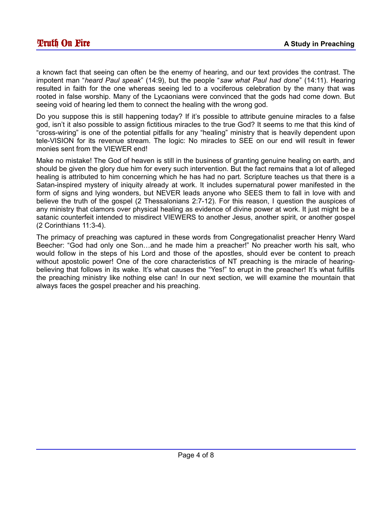a known fact that seeing can often be the enemy of hearing, and our text provides the contrast. The impotent man "*heard Paul speak*" (14:9), but the people "*saw what Paul had done*" (14:11). Hearing resulted in faith for the one whereas seeing led to a vociferous celebration by the many that was rooted in false worship. Many of the Lycaonians were convinced that the gods had come down. But seeing void of hearing led them to connect the healing with the wrong god.

Do you suppose this is still happening today? If it's possible to attribute genuine miracles to a false god, isn't it also possible to assign fictitious miracles to the true God? It seems to me that this kind of "cross-wiring" is one of the potential pitfalls for any "healing" ministry that is heavily dependent upon tele-VISION for its revenue stream. The logic: No miracles to SEE on our end will result in fewer monies sent from the VIEWER end!

Make no mistake! The God of heaven is still in the business of granting genuine healing on earth, and should be given the glory due him for every such intervention. But the fact remains that a lot of alleged healing is attributed to him concerning which he has had no part. Scripture teaches us that there is a Satan-inspired mystery of iniquity already at work. It includes supernatural power manifested in the form of signs and lying wonders, but NEVER leads anyone who SEES them to fall in love with and believe the truth of the gospel (2 Thessalonians 2:7-12). For this reason, I question the auspices of any ministry that clamors over physical healing as evidence of divine power at work. It just might be a satanic counterfeit intended to misdirect VIEWERS to another Jesus, another spirit, or another gospel (2 Corinthians 11:3-4).

The primacy of preaching was captured in these words from Congregationalist preacher Henry Ward Beecher: "God had only one Son...and he made him a preacher!" No preacher worth his salt, who would follow in the steps of his Lord and those of the apostles, should ever be content to preach without apostolic power! One of the core characteristics of NT preaching is the miracle of hearingbelieving that follows in its wake. It's what causes the "Yes!" to erupt in the preacher! It's what fulfills the preaching ministry like nothing else can! In our next section, we will examine the mountain that always faces the gospel preacher and his preaching.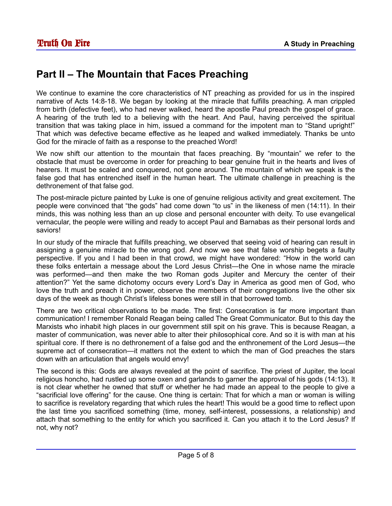### **Part II – The Mountain that Faces Preaching**

We continue to examine the core characteristics of NT preaching as provided for us in the inspired narrative of Acts 14:8-18. We began by looking at the miracle that fulfills preaching. A man crippled from birth (defective feet), who had never walked, heard the apostle Paul preach the gospel of grace. A hearing of the truth led to a believing with the heart. And Paul, having perceived the spiritual transition that was taking place in him, issued a command for the impotent man to "Stand upright!" That which was defective became effective as he leaped and walked immediately. Thanks be unto God for the miracle of faith as a response to the preached Word!

We now shift our attention to the mountain that faces preaching. By "mountain" we refer to the obstacle that must be overcome in order for preaching to bear genuine fruit in the hearts and lives of hearers. It must be scaled and conquered, not gone around. The mountain of which we speak is the false god that has entrenched itself in the human heart. The ultimate challenge in preaching is the dethronement of that false god.

The post-miracle picture painted by Luke is one of genuine religious activity and great excitement. The people were convinced that "the gods" had come down "to us" in the likeness of men (14:11). In their minds, this was nothing less than an up close and personal encounter with deity. To use evangelical vernacular, the people were willing and ready to accept Paul and Barnabas as their personal lords and saviors!

In our study of the miracle that fulfills preaching, we observed that seeing void of hearing can result in assigning a genuine miracle to the wrong god. And now we see that false worship begets a faulty perspective. If you and I had been in that crowd, we might have wondered: "How in the world can these folks entertain a message about the Lord Jesus Christ—the One in whose name the miracle was performed—and then make the two Roman gods Jupiter and Mercury the center of their attention?" Yet the same dichotomy occurs every Lord's Day in America as good men of God, who love the truth and preach it in power, observe the members of their congregations live the other six days of the week as though Christ's lifeless bones were still in that borrowed tomb.

There are two critical observations to be made. The first: Consecration is far more important than communication! I remember Ronald Reagan being called The Great Communicator. But to this day the Marxists who inhabit high places in our government still spit on his grave. This is because Reagan, a master of communication, was never able to alter their philosophical core. And so it is with man at his spiritual core. If there is no dethronement of a false god and the enthronement of the Lord Jesus—the supreme act of consecration—it matters not the extent to which the man of God preaches the stars down with an articulation that angels would envy!

The second is this: Gods are always revealed at the point of sacrifice. The priest of Jupiter, the local religious honcho, had rustled up some oxen and garlands to garner the approval of his gods (14:13). It is not clear whether he owned that stuff or whether he had made an appeal to the people to give a "sacrificial love offering" for the cause. One thing is certain: That for which a man or woman is willing to sacrifice is revelatory regarding that which rules the heart! This would be a good time to reflect upon the last time you sacrificed something (time, money, self-interest, possessions, a relationship) and attach that something to the entity for which you sacrificed it. Can you attach it to the Lord Jesus? If not, why not?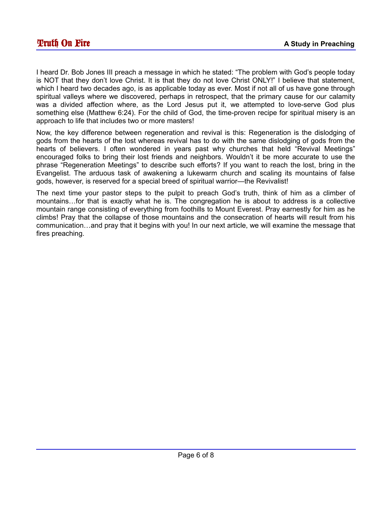I heard Dr. Bob Jones III preach a message in which he stated: "The problem with God's people today is NOT that they don't love Christ. It is that they do not love Christ ONLY!" I believe that statement, which I heard two decades ago, is as applicable today as ever. Most if not all of us have gone through spiritual valleys where we discovered, perhaps in retrospect, that the primary cause for our calamity was a divided affection where, as the Lord Jesus put it, we attempted to love-serve God plus something else (Matthew 6:24). For the child of God, the time-proven recipe for spiritual misery is an approach to life that includes two or more masters!

Now, the key difference between regeneration and revival is this: Regeneration is the dislodging of gods from the hearts of the lost whereas revival has to do with the same dislodging of gods from the hearts of believers. I often wondered in years past why churches that held "Revival Meetings" encouraged folks to bring their lost friends and neighbors. Wouldn't it be more accurate to use the phrase "Regeneration Meetings" to describe such efforts? If you want to reach the lost, bring in the Evangelist. The arduous task of awakening a lukewarm church and scaling its mountains of false gods, however, is reserved for a special breed of spiritual warrior—the Revivalist!

The next time your pastor steps to the pulpit to preach God's truth, think of him as a climber of mountains…for that is exactly what he is. The congregation he is about to address is a collective mountain range consisting of everything from foothills to Mount Everest. Pray earnestly for him as he climbs! Pray that the collapse of those mountains and the consecration of hearts will result from his communication…and pray that it begins with you! In our next article, we will examine the message that fires preaching.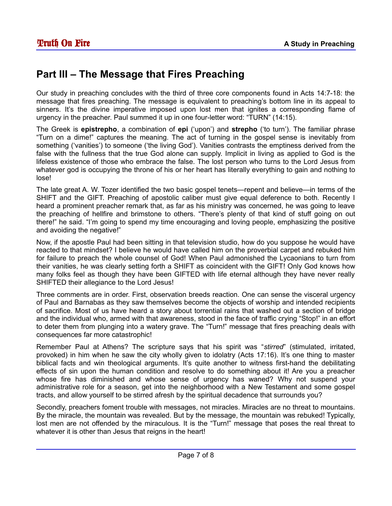### **Part III – The Message that Fires Preaching**

Our study in preaching concludes with the third of three core components found in Acts 14:7-18: the message that fires preaching. The message is equivalent to preaching's bottom line in its appeal to sinners. It's the divine imperative imposed upon lost men that ignites a corresponding flame of urgency in the preacher. Paul summed it up in one four-letter word: "TURN" (14:15).

The Greek is **epistrepho**, a combination of **epi** ('upon') and **strepho** ('to turn'). The familiar phrase "Turn on a dime!" captures the meaning. The act of turning in the gospel sense is inevitably from something ('vanities') to someone ('the living God'). Vanities contrasts the emptiness derived from the false with the fullness that the true God alone can supply. Implicit in living as applied to God is the lifeless existence of those who embrace the false. The lost person who turns to the Lord Jesus from whatever god is occupying the throne of his or her heart has literally everything to gain and nothing to lose!

The late great A. W. Tozer identified the two basic gospel tenets—repent and believe—in terms of the SHIFT and the GIFT. Preaching of apostolic caliber must give equal deference to both. Recently I heard a prominent preacher remark that, as far as his ministry was concerned, he was going to leave the preaching of hellfire and brimstone to others. "There's plenty of that kind of stuff going on out there!" he said. "I'm going to spend my time encouraging and loving people, emphasizing the positive and avoiding the negative!"

Now, if the apostle Paul had been sitting in that television studio, how do you suppose he would have reacted to that mindset? I believe he would have called him on the proverbial carpet and rebuked him for failure to preach the whole counsel of God! When Paul admonished the Lycaonians to turn from their vanities, he was clearly setting forth a SHIFT as coincident with the GIFT! Only God knows how many folks feel as though they have been GIFTED with life eternal although they have never really SHIFTED their allegiance to the Lord Jesus!

Three comments are in order. First, observation breeds reaction. One can sense the visceral urgency of Paul and Barnabas as they saw themselves become the objects of worship and intended recipients of sacrifice. Most of us have heard a story about torrential rains that washed out a section of bridge and the individual who, armed with that awareness, stood in the face of traffic crying "Stop!" in an effort to deter them from plunging into a watery grave. The "Turn!" message that fires preaching deals with consequences far more catastrophic!

Remember Paul at Athens? The scripture says that his spirit was "*stirred*" (stimulated, irritated, provoked) in him when he saw the city wholly given to idolatry (Acts 17:16). It's one thing to master biblical facts and win theological arguments. It's quite another to witness first-hand the debilitating effects of sin upon the human condition and resolve to do something about it! Are you a preacher whose fire has diminished and whose sense of urgency has waned? Why not suspend your administrative role for a season, get into the neighborhood with a New Testament and some gospel tracts, and allow yourself to be stirred afresh by the spiritual decadence that surrounds you?

Secondly, preachers foment trouble with messages, not miracles. Miracles are no threat to mountains. By the miracle, the mountain was revealed. But by the message, the mountain was rebuked! Typically, lost men are not offended by the miraculous. It is the "Turn!" message that poses the real threat to whatever it is other than Jesus that reigns in the heart!